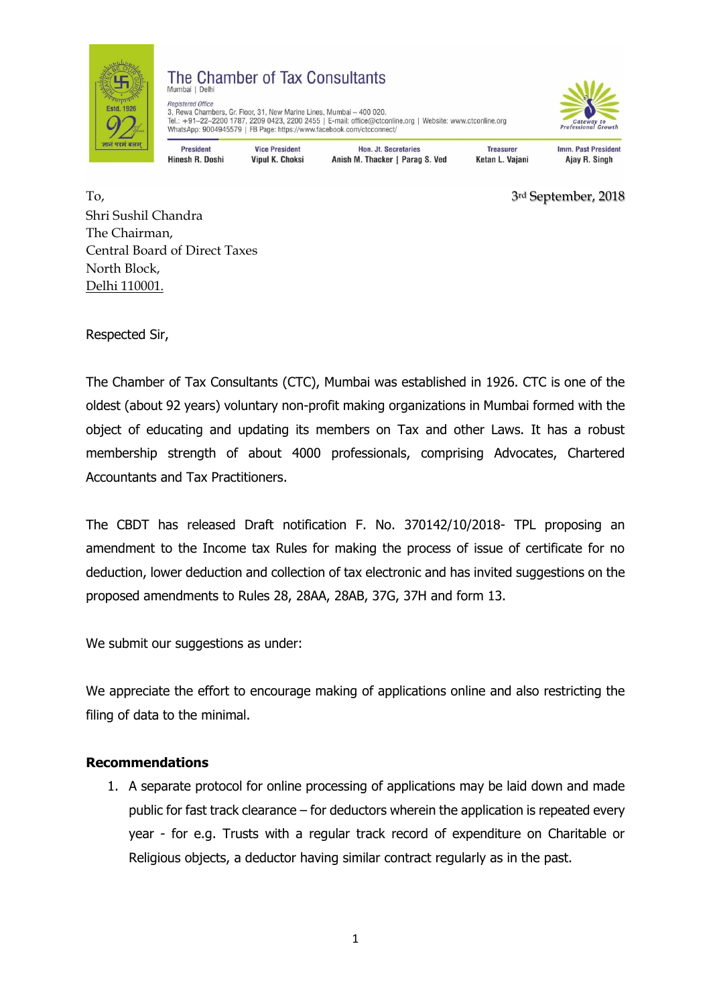

## The Chamber of Tax Consultants Mumbai | Delh

Registered Office 3, Rewa Chambers, Gr. Floor, 31, New Marine Lines, Mumbai - 400 020. Tel.: +91-22-2200 1787, 2209 0423, 2200 2455 | E-mail: office@ctconline.org | Website: www.ctconline.org WhatsApp: 9004945579 | FB Page: https://www.facebook.com/ctcconnect/



**President** Hinesh R Doshi

**Vice President** Vinul K Choksi

**Hon. Jt. Secretaries** Anish M. Thacker | Parag S. Ved

**Treasurer** Ketan L. Vaiani **Imm. Past President** Ajay R. Singh

To, 3rd September, 2018 Shri Sushil Chandra The Chairman, Central Board of Direct Taxes North Block, Delhi 110001.

Respected Sir,

The Chamber of Tax Consultants (CTC), Mumbai was established in 1926. CTC is one of the oldest (about 92 years) voluntary non-profit making organizations in Mumbai formed with the object of educating and updating its members on Tax and other Laws. It has a robust membership strength of about 4000 professionals, comprising Advocates, Chartered Accountants and Tax Practitioners.

The CBDT has released Draft notification F. No. 370142/10/2018- TPL proposing an amendment to the Income tax Rules for making the process of issue of certificate for no deduction, lower deduction and collection of tax electronic and has invited suggestions on the proposed amendments to Rules 28, 28AA, 28AB, 37G, 37H and form 13.

We submit our suggestions as under:

We appreciate the effort to encourage making of applications online and also restricting the filing of data to the minimal.

## **Recommendations**

1. A separate protocol for online processing of applications may be laid down and made public for fast track clearance – for deductors wherein the application is repeated every year - for e.g. Trusts with a regular track record of expenditure on Charitable or Religious objects, a deductor having similar contract regularly as in the past.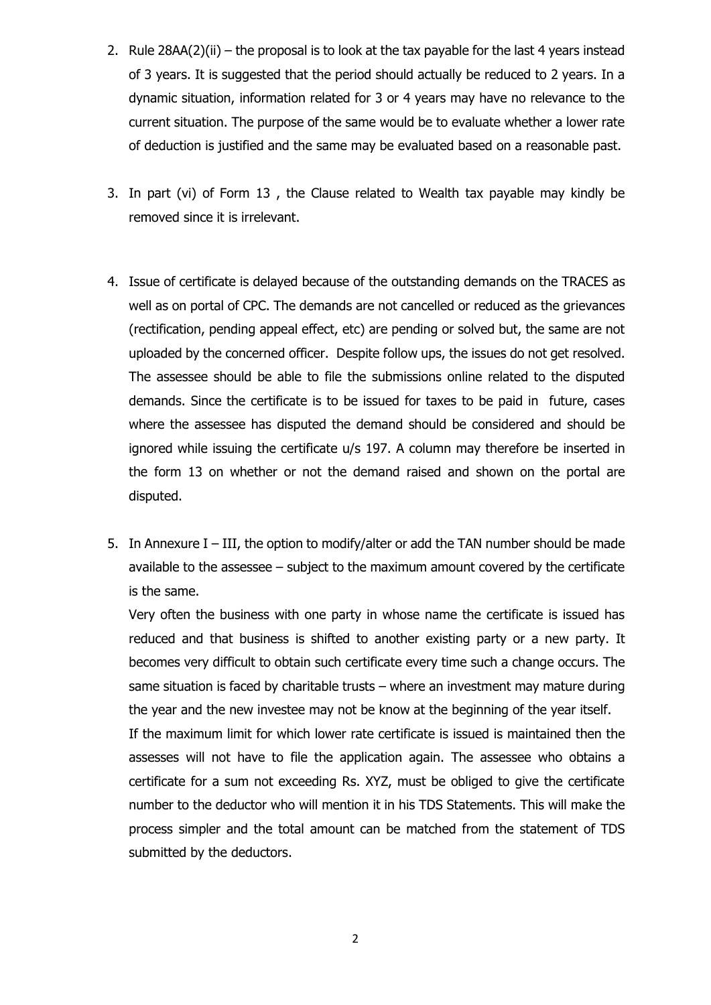- 2. Rule 28AA(2)(ii) the proposal is to look at the tax payable for the last 4 years instead of 3 years. It is suggested that the period should actually be reduced to 2 years. In a dynamic situation, information related for 3 or 4 years may have no relevance to the current situation. The purpose of the same would be to evaluate whether a lower rate of deduction is justified and the same may be evaluated based on a reasonable past.
- 3. In part (vi) of Form 13 , the Clause related to Wealth tax payable may kindly be removed since it is irrelevant.
- 4. Issue of certificate is delayed because of the outstanding demands on the TRACES as well as on portal of CPC. The demands are not cancelled or reduced as the grievances (rectification, pending appeal effect, etc) are pending or solved but, the same are not uploaded by the concerned officer. Despite follow ups, the issues do not get resolved. The assessee should be able to file the submissions online related to the disputed demands. Since the certificate is to be issued for taxes to be paid in future, cases where the assessee has disputed the demand should be considered and should be ignored while issuing the certificate u/s 197. A column may therefore be inserted in the form 13 on whether or not the demand raised and shown on the portal are disputed.
- 5. In Annexure I III, the option to modify/alter or add the TAN number should be made available to the assessee – subject to the maximum amount covered by the certificate is the same.

Very often the business with one party in whose name the certificate is issued has reduced and that business is shifted to another existing party or a new party. It becomes very difficult to obtain such certificate every time such a change occurs. The same situation is faced by charitable trusts – where an investment may mature during the year and the new investee may not be know at the beginning of the year itself.

If the maximum limit for which lower rate certificate is issued is maintained then the assesses will not have to file the application again. The assessee who obtains a certificate for a sum not exceeding Rs. XYZ, must be obliged to give the certificate number to the deductor who will mention it in his TDS Statements. This will make the process simpler and the total amount can be matched from the statement of TDS submitted by the deductors.

2